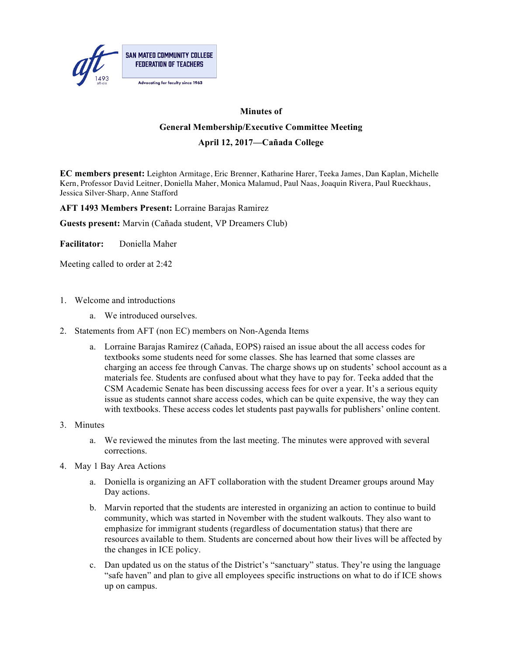

## **Minutes of General Membership/Executive Committee Meeting**

## **April 12, 2017—Cañada College**

**EC members present:** Leighton Armitage, Eric Brenner, Katharine Harer, Teeka James, Dan Kaplan, Michelle Kern, Professor David Leitner, Doniella Maher, Monica Malamud, Paul Naas, Joaquin Rivera, Paul Rueckhaus, Jessica Silver-Sharp, Anne Stafford

**AFT 1493 Members Present:** Lorraine Barajas Ramirez

**Guests present:** Marvin (Cañada student, VP Dreamers Club)

**Facilitator:** Doniella Maher

Meeting called to order at 2:42

- 1. Welcome and introductions
	- a. We introduced ourselves.
- 2. Statements from AFT (non EC) members on Non-Agenda Items
	- a. Lorraine Barajas Ramirez (Cañada, EOPS) raised an issue about the all access codes for textbooks some students need for some classes. She has learned that some classes are charging an access fee through Canvas. The charge shows up on students' school account as a materials fee. Students are confused about what they have to pay for. Teeka added that the CSM Academic Senate has been discussing access fees for over a year. It's a serious equity issue as students cannot share access codes, which can be quite expensive, the way they can with textbooks. These access codes let students past paywalls for publishers' online content.
- 3. Minutes
	- a. We reviewed the minutes from the last meeting. The minutes were approved with several corrections.
- 4. May 1 Bay Area Actions
	- a. Doniella is organizing an AFT collaboration with the student Dreamer groups around May Day actions.
	- b. Marvin reported that the students are interested in organizing an action to continue to build community, which was started in November with the student walkouts. They also want to emphasize for immigrant students (regardless of documentation status) that there are resources available to them. Students are concerned about how their lives will be affected by the changes in ICE policy.
	- c. Dan updated us on the status of the District's "sanctuary" status. They're using the language "safe haven" and plan to give all employees specific instructions on what to do if ICE shows up on campus.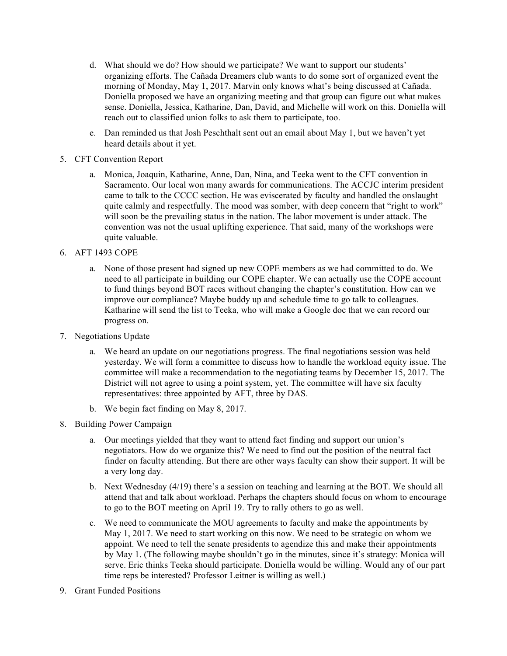- d. What should we do? How should we participate? We want to support our students' organizing efforts. The Cañada Dreamers club wants to do some sort of organized event the morning of Monday, May 1, 2017. Marvin only knows what's being discussed at Cañada. Doniella proposed we have an organizing meeting and that group can figure out what makes sense. Doniella, Jessica, Katharine, Dan, David, and Michelle will work on this. Doniella will reach out to classified union folks to ask them to participate, too.
- e. Dan reminded us that Josh Peschthalt sent out an email about May 1, but we haven't yet heard details about it yet.
- 5. CFT Convention Report
	- a. Monica, Joaquin, Katharine, Anne, Dan, Nina, and Teeka went to the CFT convention in Sacramento. Our local won many awards for communications. The ACCJC interim president came to talk to the CCCC section. He was eviscerated by faculty and handled the onslaught quite calmly and respectfully. The mood was somber, with deep concern that "right to work" will soon be the prevailing status in the nation. The labor movement is under attack. The convention was not the usual uplifting experience. That said, many of the workshops were quite valuable.
- 6. AFT 1493 COPE
	- a. None of those present had signed up new COPE members as we had committed to do. We need to all participate in building our COPE chapter. We can actually use the COPE account to fund things beyond BOT races without changing the chapter's constitution. How can we improve our compliance? Maybe buddy up and schedule time to go talk to colleagues. Katharine will send the list to Teeka, who will make a Google doc that we can record our progress on.
- 7. Negotiations Update
	- a. We heard an update on our negotiations progress. The final negotiations session was held yesterday. We will form a committee to discuss how to handle the workload equity issue. The committee will make a recommendation to the negotiating teams by December 15, 2017. The District will not agree to using a point system, yet. The committee will have six faculty representatives: three appointed by AFT, three by DAS.
	- b. We begin fact finding on May 8, 2017.
- 8. Building Power Campaign
	- a. Our meetings yielded that they want to attend fact finding and support our union's negotiators. How do we organize this? We need to find out the position of the neutral fact finder on faculty attending. But there are other ways faculty can show their support. It will be a very long day.
	- b. Next Wednesday (4/19) there's a session on teaching and learning at the BOT. We should all attend that and talk about workload. Perhaps the chapters should focus on whom to encourage to go to the BOT meeting on April 19. Try to rally others to go as well.
	- c. We need to communicate the MOU agreements to faculty and make the appointments by May 1, 2017. We need to start working on this now. We need to be strategic on whom we appoint. We need to tell the senate presidents to agendize this and make their appointments by May 1. (The following maybe shouldn't go in the minutes, since it's strategy: Monica will serve. Eric thinks Teeka should participate. Doniella would be willing. Would any of our part time reps be interested? Professor Leitner is willing as well.)
- 9. Grant Funded Positions